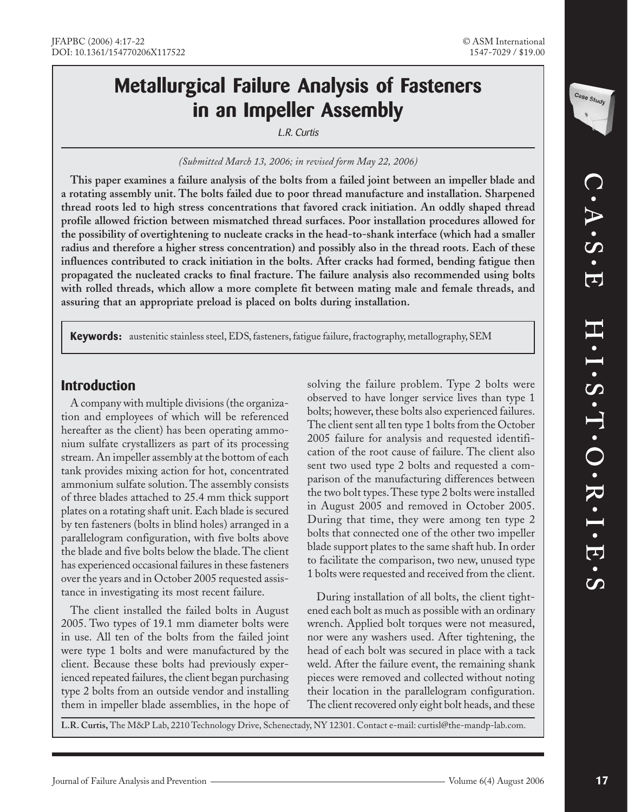## **Metallurgical Failure Analysis of Fasteners in an Impeller Assembly**

L.R. Curtis

*(Submitted March 13, 2006; in revised form May 22, 2006)*

**This paper examines a failure analysis of the bolts from a failed joint between an impeller blade and a rotating assembly unit. The bolts failed due to poor thread manufacture and installation. Sharpened thread roots led to high stress concentrations that favored crack initiation. An oddly shaped thread profile allowed friction between mismatched thread surfaces. Poor installation procedures allowed for the possibility of overtightening to nucleate cracks in the head-to-shank interface (which had a smaller radius and therefore a higher stress concentration) and possibly also in the thread roots. Each of these influences contributed to crack initiation in the bolts. After cracks had formed, bending fatigue then propagated the nucleated cracks to final fracture. The failure analysis also recommended using bolts with rolled threads, which allow a more complete fit between mating male and female threads, and assuring that an appropriate preload is placed on bolts during installation.**

**Keywords:** austenitic stainless steel, EDS, fasteners, fatigue failure, fractography, metallography, SEM

## **Introduction**

A company with multiple divisions (the organization and employees of which will be referenced hereafter as the client) has been operating ammonium sulfate crystallizers as part of its processing stream. An impeller assembly at the bottom of each tank provides mixing action for hot, concentrated ammonium sulfate solution. The assembly consists of three blades attached to 25.4 mm thick support plates on a rotating shaft unit. Each blade is secured by ten fasteners (bolts in blind holes) arranged in a parallelogram configuration, with five bolts above the blade and five bolts below the blade. The client has experienced occasional failures in these fasteners over the years and in October 2005 requested assistance in investigating its most recent failure.

The client installed the failed bolts in August 2005. Two types of 19.1 mm diameter bolts were in use. All ten of the bolts from the failed joint were type 1 bolts and were manufactured by the client. Because these bolts had previously experienced repeated failures, the client began purchasing type 2 bolts from an outside vendor and installing them in impeller blade assemblies, in the hope of

solving the failure problem. Type 2 bolts were observed to have longer service lives than type 1 bolts; however, these bolts also experienced failures. The client sent all ten type 1 bolts from the October 2005 failure for analysis and requested identification of the root cause of failure. The client also sent two used type 2 bolts and requested a comparison of the manufacturing differences between the two bolt types. These type 2 bolts were installed in August 2005 and removed in October 2005. During that time, they were among ten type 2 bolts that connected one of the other two impeller blade support plates to the same shaft hub. In order to facilitate the comparison, two new, unused type 1 bolts were requested and received from the client.

During installation of all bolts, the client tightened each bolt as much as possible with an ordinary wrench. Applied bolt torques were not measured, nor were any washers used. After tightening, the head of each bolt was secured in place with a tack weld. After the failure event, the remaining shank pieces were removed and collected without noting their location in the parallelogram configuration. The client recovered only eight bolt heads, and these

**L.R. Curtis,** The M&P Lab, 2210 Technology Drive, Schenectady, NY 12301. Contact e-mail: curtisl@the-mandp-lab.com.

Case Study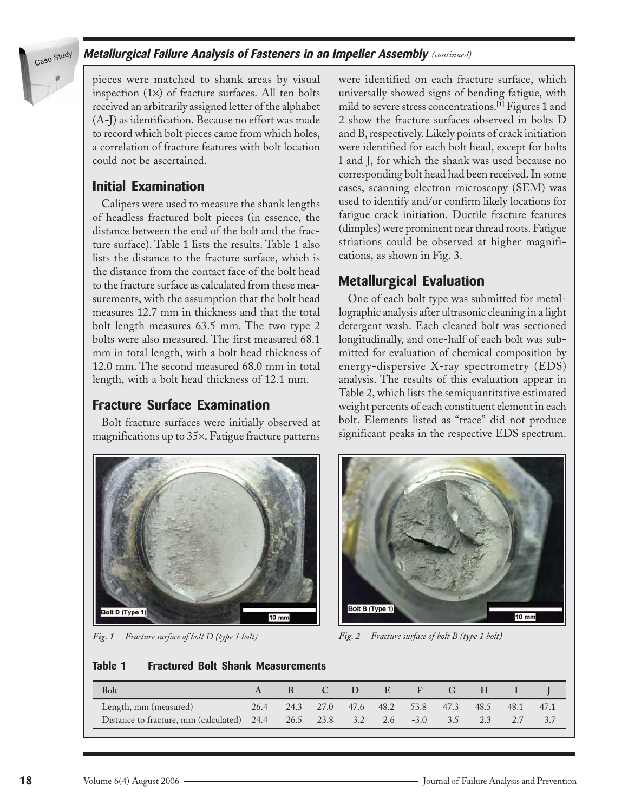

#### **Metallurgical Failure Analysis of Fasteners in an Impeller Assembly** *(continued)*

pieces were matched to shank areas by visual inspection  $(1\times)$  of fracture surfaces. All ten bolts received an arbitrarily assigned letter of the alphabet (A-J) as identification. Because no effort was made to record which bolt pieces came from which holes, a correlation of fracture features with bolt location could not be ascertained.

## **Initial Examination**

Calipers were used to measure the shank lengths of headless fractured bolt pieces (in essence, the distance between the end of the bolt and the fracture surface). Table 1 lists the results. Table 1 also lists the distance to the fracture surface, which is the distance from the contact face of the bolt head to the fracture surface as calculated from these measurements, with the assumption that the bolt head measures 12.7 mm in thickness and that the total bolt length measures 63.5 mm. The two type 2 bolts were also measured. The first measured 68.1 mm in total length, with a bolt head thickness of 12.0 mm. The second measured 68.0 mm in total length, with a bolt head thickness of 12.1 mm.

## **Fracture Surface Examination**

Bolt fracture surfaces were initially observed at magnifications up to 35×. Fatigue fracture patterns



were identified on each fracture surface, which universally showed signs of bending fatigue, with mild to severe stress concentrations.[1] Figures 1 and 2 show the fracture surfaces observed in bolts D and B, respectively. Likely points of crack initiation were identified for each bolt head, except for bolts I and J, for which the shank was used because no corresponding bolt head had been received. In some cases, scanning electron microscopy (SEM) was used to identify and/or confirm likely locations for fatigue crack initiation. Ductile fracture features (dimples) were prominent near thread roots. Fatigue striations could be observed at higher magnifications, as shown in Fig. 3.

## **Metallurgical Evaluation**

One of each bolt type was submitted for metallographic analysis after ultrasonic cleaning in a light detergent wash. Each cleaned bolt was sectioned longitudinally, and one-half of each bolt was submitted for evaluation of chemical composition by energy-dispersive X-ray spectrometry (EDS) analysis. The results of this evaluation appear in Table 2, which lists the semiquantitative estimated weight percents of each constituent element in each bolt. Elements listed as "trace" did not produce significant peaks in the respective EDS spectrum.



*Fig. 1 Fracture surface of bolt D (type 1 bolt) Fig. 2 Fracture surface of bolt B (type 1 bolt)*

#### **Table 1 Fractured Bolt Shank Measurements**

| <b>Bolt</b>                           |      |           | $\mathbf{D}$ | E         |            |      |      |      |      |
|---------------------------------------|------|-----------|--------------|-----------|------------|------|------|------|------|
| Length, mm (measured)                 | 26.4 | 24.3 27.0 |              | 47.6 48.2 | 53.8       | 47.3 | 48.5 | 48.1 | 47.1 |
| Distance to fracture, mm (calculated) | 24.4 | 26.5 23.8 | 3.2          |           | 2.6 $-3.0$ | 3.5  |      |      |      |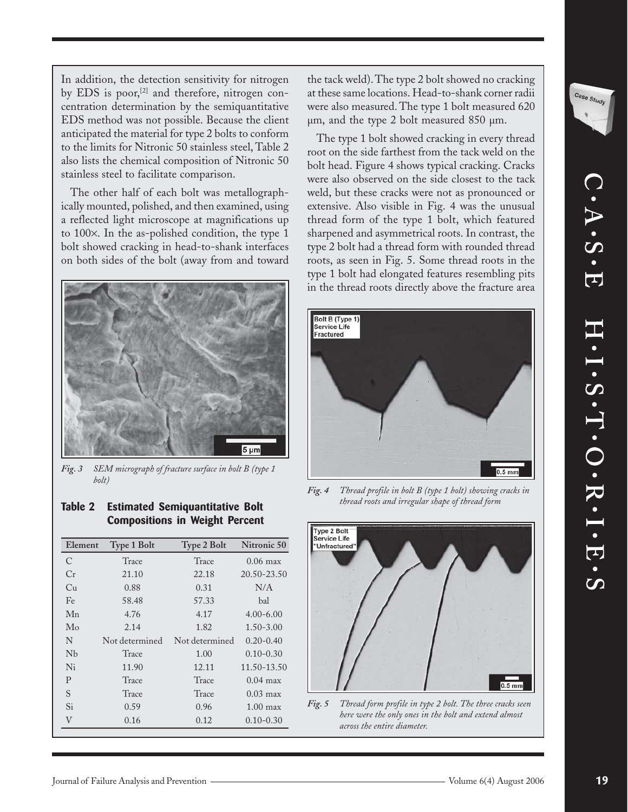Case Study

In addition, the detection sensitivity for nitrogen by EDS is poor,<sup>[2]</sup> and therefore, nitrogen concentration determination by the semiquantitative EDS method was not possible. Because the client anticipated the material for type 2 bolts to conform to the limits for Nitronic 50 stainless steel, Table 2 also lists the chemical composition of Nitronic 50 stainless steel to facilitate comparison.

The other half of each bolt was metallographically mounted, polished, and then examined, using a reflected light microscope at magnifications up to 100×. In the as-polished condition, the type 1 bolt showed cracking in head-to-shank interfaces on both sides of the bolt (away from and toward



*Fig. 3 SEM micrograph of fracture surface in bolt B (type 1 bolt)*

the tack weld). The type 2 bolt showed no cracking at these same locations. Head-to-shank corner radii were also measured. The type 1 bolt measured 620 µm, and the type 2 bolt measured 850 µm.

The type 1 bolt showed cracking in every thread root on the side farthest from the tack weld on the bolt head. Figure 4 shows typical cracking. Cracks were also observed on the side closest to the tack weld, but these cracks were not as pronounced or extensive. Also visible in Fig. 4 was the unusual thread form of the type 1 bolt, which featured sharpened and asymmetrical roots. In contrast, the type 2 bolt had a thread form with rounded thread roots, as seen in Fig. 5. Some thread roots in the type 1 bolt had elongated features resembling pits in the thread roots directly above the fracture area



*Fig. 4 Thread profile in bolt B (type 1 bolt) showing cracks in thread roots and irregular shape of thread form*



*Fig. 5 Thread form profile in type 2 bolt. The three cracks seen here were the only ones in the bolt and extend almost across the entire diameter.*

#### **Table 2 Estimated Semiquantitative Bolt Compositions in Weight Percent**

| Element       | <b>Type 1 Bolt</b> | Type 2 Bolt    | Nitronic 50        |
|---------------|--------------------|----------------|--------------------|
| $\mathcal{C}$ | Trace              | Trace          | $0.06$ max         |
| Cr            | 21.10              | 22.18          | 20.50-23.50        |
| Cu            | 0.88               | 0.31           | N/A                |
| Fe            | 58.48              | 57.33          | bal                |
| Mn            | 4.76               | 4.17           | $4.00 - 6.00$      |
| Mo            | 2.14               | 1.82           | $1.50 - 3.00$      |
| N             | Not determined     | Not determined | $0.20 - 0.40$      |
| Nb            | Trace              | 1.00           | $0.10 - 0.30$      |
| Ni            | 11.90              | 12.11          | 11.50-13.50        |
| P             | Trace              | Trace          | $0.04$ max         |
| S             | Trace              | Trace          | $0.03 \text{ max}$ |
| Si            | 0.59               | 0.96           | $1.00$ max         |
| V             | 0.16               | 0.12           | $0.10 - 0.30$      |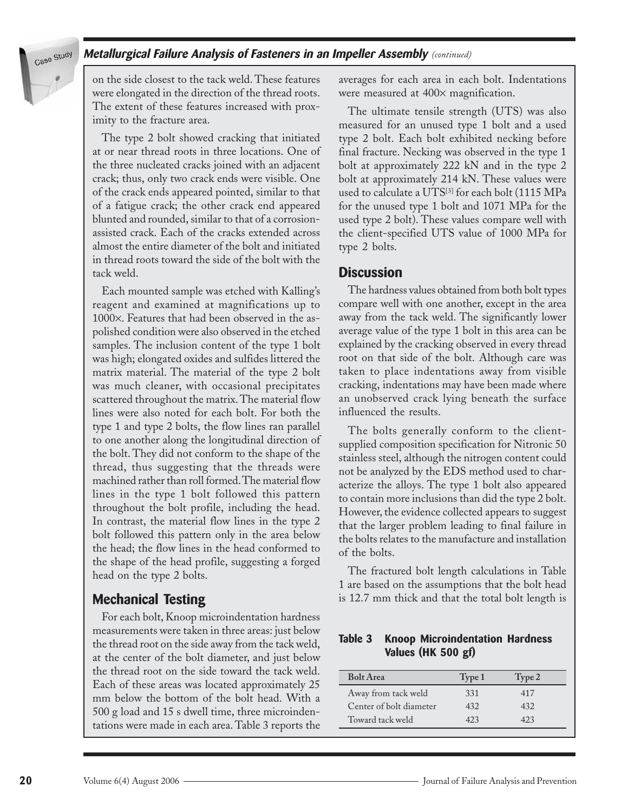

#### **Metallurgical Failure Analysis of Fasteners in an Impeller Assembly** *(continued)*

on the side closest to the tack weld. These features were elongated in the direction of the thread roots. The extent of these features increased with proximity to the fracture area.

The type 2 bolt showed cracking that initiated at or near thread roots in three locations. One of the three nucleated cracks joined with an adjacent crack; thus, only two crack ends were visible. One of the crack ends appeared pointed, similar to that of a fatigue crack; the other crack end appeared blunted and rounded, similar to that of a corrosionassisted crack. Each of the cracks extended across almost the entire diameter of the bolt and initiated in thread roots toward the side of the bolt with the tack weld.

Each mounted sample was etched with Kalling's reagent and examined at magnifications up to 1000×. Features that had been observed in the aspolished condition were also observed in the etched samples. The inclusion content of the type 1 bolt was high; elongated oxides and sulfides littered the matrix material. The material of the type 2 bolt was much cleaner, with occasional precipitates scattered throughout the matrix. The material flow lines were also noted for each bolt. For both the type 1 and type 2 bolts, the flow lines ran parallel to one another along the longitudinal direction of the bolt. They did not conform to the shape of the thread, thus suggesting that the threads were machined rather than roll formed. The material flow lines in the type 1 bolt followed this pattern throughout the bolt profile, including the head. In contrast, the material flow lines in the type 2 bolt followed this pattern only in the area below the head; the flow lines in the head conformed to the shape of the head profile, suggesting a forged head on the type 2 bolts.

## **Mechanical Testing**

For each bolt, Knoop microindentation hardness measurements were taken in three areas: just below the thread root on the side away from the tack weld, at the center of the bolt diameter, and just below the thread root on the side toward the tack weld. Each of these areas was located approximately 25 mm below the bottom of the bolt head. With a 500 g load and 15 s dwell time, three microindentations were made in each area. Table 3 reports the averages for each area in each bolt. Indentations were measured at 400 $\times$  magnification.

The ultimate tensile strength (UTS) was also measured for an unused type 1 bolt and a used type 2 bolt. Each bolt exhibited necking before final fracture. Necking was observed in the type 1 bolt at approximately 222 kN and in the type 2 bolt at approximately 214 kN. These values were used to calculate a UTS<sup>[3]</sup> for each bolt (1115 MPa for the unused type 1 bolt and 1071 MPa for the used type 2 bolt). These values compare well with the client-specified UTS value of 1000 MPa for type 2 bolts.

#### **Discussion**

The hardness values obtained from both bolt types compare well with one another, except in the area away from the tack weld. The significantly lower average value of the type 1 bolt in this area can be explained by the cracking observed in every thread root on that side of the bolt. Although care was taken to place indentations away from visible cracking, indentations may have been made where an unobserved crack lying beneath the surface influenced the results.

The bolts generally conform to the clientsupplied composition specification for Nitronic 50 stainless steel, although the nitrogen content could not be analyzed by the EDS method used to characterize the alloys. The type 1 bolt also appeared to contain more inclusions than did the type 2 bolt. However, the evidence collected appears to suggest that the larger problem leading to final failure in the bolts relates to the manufacture and installation of the bolts.

The fractured bolt length calculations in Table 1 are based on the assumptions that the bolt head is 12.7 mm thick and that the total bolt length is

|  | <b>Table 3 Knoop Microindentation Hardness</b> |  |
|--|------------------------------------------------|--|
|  | Values (HK 500 gf)                             |  |

| <b>Bolt Area</b>        | Type 1 | Type 2 |
|-------------------------|--------|--------|
| Away from tack weld     | 331    | 417    |
| Center of bolt diameter | 432    | 432    |
| Toward tack weld        | 423    | 123    |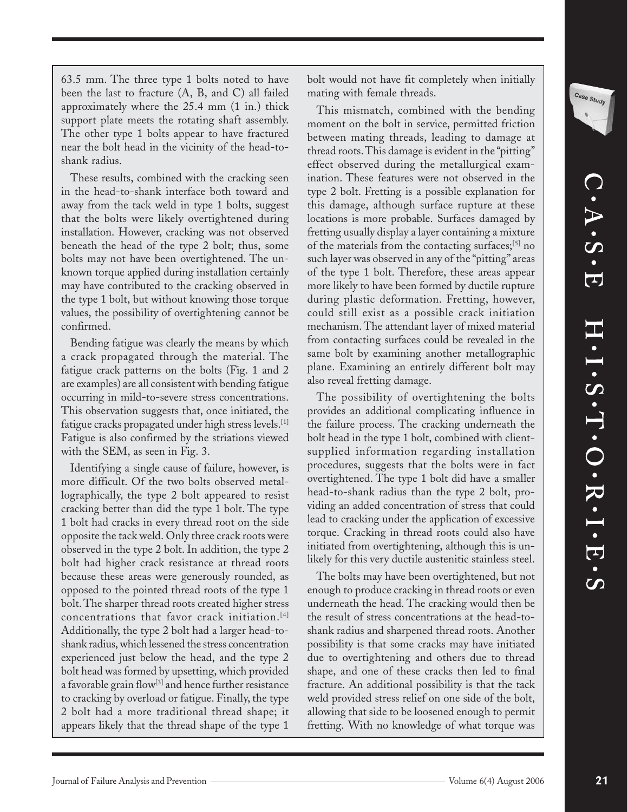Case Study

63.5 mm. The three type 1 bolts noted to have been the last to fracture (A, B, and C) all failed approximately where the 25.4 mm (1 in.) thick support plate meets the rotating shaft assembly. The other type 1 bolts appear to have fractured near the bolt head in the vicinity of the head-toshank radius.

These results, combined with the cracking seen in the head-to-shank interface both toward and away from the tack weld in type 1 bolts, suggest that the bolts were likely overtightened during installation. However, cracking was not observed beneath the head of the type 2 bolt; thus, some bolts may not have been overtightened. The unknown torque applied during installation certainly may have contributed to the cracking observed in the type 1 bolt, but without knowing those torque values, the possibility of overtightening cannot be confirmed.

Bending fatigue was clearly the means by which a crack propagated through the material. The fatigue crack patterns on the bolts (Fig. 1 and 2 are examples) are all consistent with bending fatigue occurring in mild-to-severe stress concentrations. This observation suggests that, once initiated, the fatigue cracks propagated under high stress levels.[1] Fatigue is also confirmed by the striations viewed with the SEM, as seen in Fig. 3.

Identifying a single cause of failure, however, is more difficult. Of the two bolts observed metallographically, the type 2 bolt appeared to resist cracking better than did the type 1 bolt. The type 1 bolt had cracks in every thread root on the side opposite the tack weld. Only three crack roots were observed in the type 2 bolt. In addition, the type 2 bolt had higher crack resistance at thread roots because these areas were generously rounded, as opposed to the pointed thread roots of the type 1 bolt. The sharper thread roots created higher stress concentrations that favor crack initiation.[4] Additionally, the type 2 bolt had a larger head-toshank radius, which lessened the stress concentration experienced just below the head, and the type 2 bolt head was formed by upsetting, which provided a favorable grain flow<sup>[3]</sup> and hence further resistance to cracking by overload or fatigue. Finally, the type 2 bolt had a more traditional thread shape; it appears likely that the thread shape of the type 1

bolt would not have fit completely when initially mating with female threads.

This mismatch, combined with the bending moment on the bolt in service, permitted friction between mating threads, leading to damage at thread roots. This damage is evident in the "pitting" effect observed during the metallurgical examination. These features were not observed in the type 2 bolt. Fretting is a possible explanation for this damage, although surface rupture at these locations is more probable. Surfaces damaged by fretting usually display a layer containing a mixture of the materials from the contacting surfaces;<sup>[5]</sup> no such layer was observed in any of the "pitting" areas of the type 1 bolt. Therefore, these areas appear more likely to have been formed by ductile rupture during plastic deformation. Fretting, however, could still exist as a possible crack initiation mechanism. The attendant layer of mixed material from contacting surfaces could be revealed in the same bolt by examining another metallographic plane. Examining an entirely different bolt may also reveal fretting damage.

The possibility of overtightening the bolts provides an additional complicating influence in the failure process. The cracking underneath the bolt head in the type 1 bolt, combined with clientsupplied information regarding installation procedures, suggests that the bolts were in fact overtightened. The type 1 bolt did have a smaller head-to-shank radius than the type 2 bolt, providing an added concentration of stress that could lead to cracking under the application of excessive torque. Cracking in thread roots could also have initiated from overtightening, although this is unlikely for this very ductile austenitic stainless steel.

The bolts may have been overtightened, but not enough to produce cracking in thread roots or even underneath the head. The cracking would then be the result of stress concentrations at the head-toshank radius and sharpened thread roots. Another possibility is that some cracks may have initiated due to overtightening and others due to thread shape, and one of these cracks then led to final fracture. An additional possibility is that the tack weld provided stress relief on one side of the bolt, allowing that side to be loosened enough to permit fretting. With no knowledge of what torque was